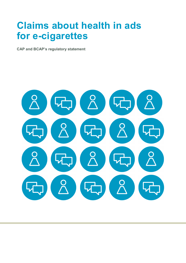# Claims about health in ads for e-cigarettes

CAP and BCAP's regulatory statement

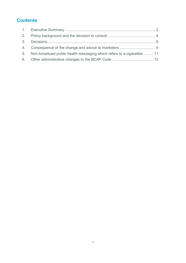# **Contents**

| 5. Non-broadcast public health messaging which refers to e-cigarettes  11 |  |
|---------------------------------------------------------------------------|--|
|                                                                           |  |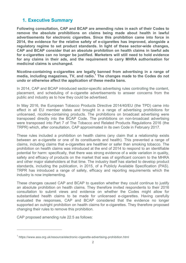## 1. Executive Summary

Following consultation, CAP and BCAP are amending rules in each of their Codes to remove the absolute prohibitions on claims being made about health in lawful advertisements for electronic cigarettes. Since this prohibition came into force in 2014, the evidence for the relative safety of e-cigarettes has improved, alongside a regulatory regime to set product standards. In light of these sector-wide changes, CAP and BCAP consider that an absolute prohibition on health claims in lawful ads for e-cigarettes can no longer be justified. Marketers will still need to hold evidence for any claims in their ads, and the requirement to carry MHRA authorisation for medicinal claims is unchanged.

Nicotine-containing e-cigarettes are legally banned from advertising in a range of media, including magazines, TV, and radio.<sup>1</sup> The changes made to the Codes do not undo or otherwise affect the application of these media bans.

In 2014, CAP and BCAP introduced sector-specific advertising rules controlling the content, placement, and scheduling of e-cigarette advertisements to answer concerns from the public and industry as to how they could be advertised.

In May 2016, the European Tobacco Products Directive 2014/40/EU (the TPD) came into effect in all EU member states and brought in a range of advertising prohibitions for unlicensed, nicotine-containing products. The prohibitions on broadcast advertising were transposed directly into the BCAP Code. The prohibitions on non-broadcast advertising were transposed into Part 7 of The Tobacco and Related Products Regulations 2016 (the TRPR) which, after consultation, CAP approximated in its own Code in February 2017.

These rules included a prohibition on health claims (any claim that a relationship exists between an e-cigarette or one of its constituents and health). This prevented a range of claims, including claims that e-cigarettes are healthier or safer than smoking tobacco. The prohibition on health claims was introduced at the end of 2014 to respond to an identifiable potential for harm: specifically, that there was strong evidence of a wide variation in quality, safety and efficacy of products on the market that was of significant concern to the MHRA and other major stakeholders at that time. The industry itself has started to develop product standards, including the publication, in 2015, of a Publicly Available Specification (PAS). TRPR has introduced a range of safety, efficacy and reporting requirements which the industry is now implementing.

These changes caused CAP and BCAP to question whether they could continue to justify an absolute prohibition on health claims. They therefore invited respondents to their 2016 consultation to submit views and evidence on whether the Codes might allow for substantiated health claims to be made for unlicensed e-cigarettes. Having carefully evaluated the responses, CAP and BCAP considered that the evidence no longer supported an outright prohibition on health claims for e-cigarettes. They therefore proposed changing their rules to remove this prohibition.

CAP proposed amending rule 22.5 as follows:

 $\overline{a}$ 

<sup>&</sup>lt;sup>1</sup> https://www.asa.org.uk/resource/electronic-cigarette-advertising-prohibition.html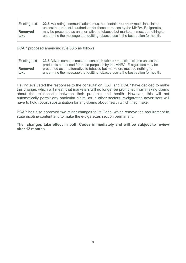| <b>Existing text</b> | 22.5 Marketing communications must not contain health or medicinal claims<br>unless the product is authorised for those purposes by the MHRA. E-cigarettes |
|----------------------|------------------------------------------------------------------------------------------------------------------------------------------------------------|
| Removed              | may be presented as an alternative to tobacco but marketers must do nothing to                                                                             |
| text                 | undermine the message that quitting tobacco use is the best option for health.                                                                             |

BCAP proposed amending rule 33.5 as follows:

Having evaluated the responses to the consultation, CAP and BCAP have decided to make this change, which will mean that marketers will no longer be prohibited from making claims about the relationship between their products and health. However, this will not automatically permit any particular claim; as in other sectors, e-cigarettes advertisers will have to hold robust substantiation for any claims about health which they make.

BCAP has also approved two minor changes to its Code, which remove the requirement to state nicotine content and to make the e-cigarettes section permanent.

#### The changes take effect in both Codes immediately and will be subject to review after 12 months.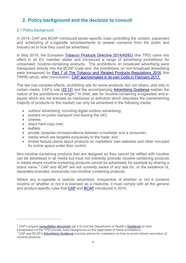## 2. Policy background and the decision to consult

## 2.1 Policy background

In 2014, CAP and BCAP introduced sector-specific rules controlling the content, placement and scheduling of e-cigarette advertisements to answer concerns from the public and industry as to how they could be advertised.

In May 2016, the European Tobacco Products Directive 2014/40/EU (the TPD) came into effect in all EU member states and introduced a range of advertising prohibitions for unlicensed, nicotine-containing products. The prohibitions on broadcast advertising were transposed directly into the BCAP Code and the prohibitions on non-broadcast advertising were transposed by Part 7 of The Tobacco and Related Products Regulations 2016 (the TRPR) which, after consultation, CAP approximated in its own Code in February 2017.

The law has complex effects, prohibiting ads for some products, but not others, and only in certain media. CAP's rule (22.12) and the accompanying Advertising Guidance explain the nature of the prohibitions at length.<sup>2</sup> In brief, ads for nicotine-containing e-cigarettes and eliquids which are not licensed as medicines (a definition which describes the overwhelming majority of products on the market) can only be advertised in the following media:

- outdoor advertising, including digital outdoor advertising;
- posters on public transport (not leaving the UK):
- cinema:
- direct hard copy mail;
- leaflets:

 $\overline{a}$ 

- private, bespoke correspondence between a marketer and a consumer;
- media which are targeted exclusively to the trade; and
- limited factual claims about products on marketers' own websites and other non-paid for online space under their control

Non-nicotine containing products that are designed so they cannot be refilled with nicotine can be advertised in all media but must not indirectly promote nicotine-containing products in media where nicotine-containing products cannot be advertised; for example by sharing a brand name.<sup>3</sup> CAP and BCAP are not currently aware of any ads for, or the existence of, separately-branded, exclusively-non-nicotine containing products.

Where any e-cigarette is lawfully advertised, irrespective of whether or not it contains nicotine or whether or not it is licensed as a medicine, it must comply with all the general and product-specific rules that CAP and BCAP introduced in 2014.

 $^2$  CAP's original  $\frac{\text{constant}}{\text{constant}}$  (pp 4-5) and the Department of Health's  $\frac{\text{Guidance}}{\text{on their}}$ 

transposition of the TPD provide more background on the legal basis of these prohibitions.

<sup>&</sup>lt;sup>3</sup> CAP and BCAP's Advertising Guidance includes advice for marketers on how to avoid indirect promotion of nicotine products.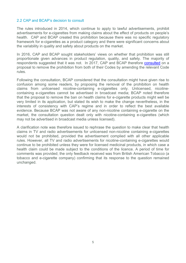#### 2.2 CAP and BCAP's decision to consult

The rules introduced in 2014, which continue to apply to lawful advertisements, prohibit advertisements for e-cigarettes from making claims about the effect of products on people's health. CAP and BCAP created this prohibition because there was no specific regulatory framework for e-cigarettes as a product category and there were significant concerns about the variability in quality and safety about products on the market.

In 2016, CAP and BCAP sought stakeholders' views on whether that prohibition was still proportionate given advances in product regulation, quality, and safety. The majority of respondents suggested that it was not. In 2017, CAP and BCAP therefore **consulted** on a proposal to remove the prohibition from both of their Codes by amending the relevant Code rules.

Following the consultation, BCAP considered that the consultation might have given rise to confusion among some readers, by proposing the removal of the prohibition on health claims from unlicensed nicotine-containing e-cigarettes only. Unlicensed, nicotinecontaining e-cigarettes cannot be advertised in broadcast media; BCAP noted therefore that the proposal to remove the ban on health claims for e-cigarette products might well be very limited in its application, but stated its wish to make the change nevertheless, in the interests of consistency with CAP's regime and in order to reflect the best available evidence. Because BCAP was not aware of any non-nicotine containing e-cigarette on the market, the consultation question dealt only with nicotine-containing e-cigarettes (which may not be advertised in broadcast media unless licensed).

A clarification note was therefore issued to rephrase the question to make clear that health claims in TV and radio advertisements for unlicensed non-nicotine containing e-cigarettes would not be prohibited, provided the advertisement complied with all other applicable rules. However, all TV and radio advertisements for nicotine-containing e-cigarettes would continue to be prohibited unless they were for licensed medicinal products, in which case a health claim could be made subject to the conditions of the licence. A period of time for comments was provided; the only feedback received was from British American Tobacco (a tobacco and e-cigarette company) confirming that its response to the question remained unchanged.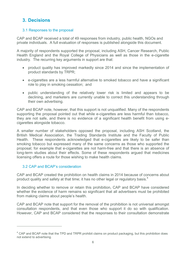## 3. Decisions

## 3.1 Responses to the proposal

CAP and BCAP received a total of 49 responses from industry, public health, NGOs and private individuals. A full evaluation of responses is published alongside this document.

A majority of respondents supported the proposal, including ASH, Cancer Research, Public Health England and the Royal College of Physicians as well as those in the e-cigarette industry. The recurring key arguments in support are that:

- product quality has improved markedly since 2014 and since the implementation of product standards by TRPR;
- e-cigarettes are a less harmful alternative to smoked tobacco and have a significant role to play in smoking cessation; and
- public understanding of the relatively lower risk is limited and appears to be declining, and marketers are currently unable to correct this understanding through their own advertising.

CAP and BCAP note, however, that this support is not unqualified. Many of the respondents supporting the proposal pointed out that while e-cigarettes are less harmful than tobacco, they are not safe, and there is no evidence of a significant health benefit from using ecigarettes alongside tobacco.

A smaller number of stakeholders opposed the proposal, including ASH Scotland, the British Medical Association, the Trading Standards Institute and the Faculty of Public Health. These respondents acknowledged that e-cigarettes are likely to be safer than smoking tobacco but expressed many of the same concerns as those who supported the proposal; for example that e-cigarettes are not harm-free and that there is an absence of long-term studies about their effects. Some of these respondents argued that medicines licensing offers a route for those wishing to make health claims.

## 3.2 CAP and BCAP's consideration

 $\overline{a}$ 

CAP and BCAP created the prohibition on health claims in 2014 because of concerns about product quality and safety at that time; it has no other legal or regulatory basis. $4$ 

In deciding whether to remove or retain this prohibition, CAP and BCAP have considered whether the evidence of harm remains so significant that all advertisers must be prohibited from making claims about people's health.

CAP and BCAP note that support for the removal of the prohibition is not universal amongst consultation respondents, and that even those who support it do so with qualification. However, CAP and BCAP considered that the responses to their consultation demonstrate

 $^4$  CAP and BCAP note that the TPD and TRPR prohibit claims on product packaging, but this prohibition does not extend to advertising.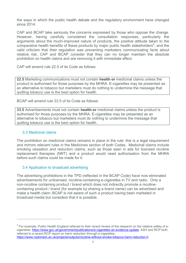the ways in which the public health debate and the regulatory environment have changed since 2014.

CAP and BCAP take seriously the concerns expressed by those who oppose the change. However, having carefully considered the consultation responses, particularly the arguments about the much-improved nature of products, the positive attitude taken to the comparative health benefits of these products by major public health stakeholders<sup>5</sup>, and the valid criticism that their regulation was preventing marketers communicating facts about relative risk, CAP and BCAP consider that they can no longer maintain the absolute prohibition on health claims and are removing it with immediate effect.

CAP will amend rule 22.5 of its Code as follows:

22.5 Marketing communications must not contain health or medicinal claims unless the product is authorised for those purposes by the MHRA. E-cigarettes may be presented as an alternative to tobacco but marketers must do nothing to undermine the message that quitting tobacco use is the best option for health.

BCAP will amend rule 33.5 of its Code as follows:

33.5 Advertisements must not contain health or medicinal claims unless the product is authorised for those purposes by the MHRA. E-cigarettes may be presented as an alternative to tobacco but marketers must do nothing to undermine the message that quitting tobacco use is the best option for health.

## 3.3 Medicinal claims

 $\overline{a}$ 

The prohibition on medicinal claims remains in place in the rule: this is a legal requirement and mirrors relevant rules in the Medicines section of both Codes. Medicinal claims include smoking cessation and reduction claims, such as those seen in ads for licensed nicotine replacement therapies (NRT) and a product would need authorisation from the MHRA before such claims could be made for it.

## 3.4 Application to broadcast advertising

The advertising prohibitions in the TPD (reflected in the BCAP Code) have now eliminated advertisements for unlicensed, nicotine-containing e-cigarettes in TV and radio. Only a non-nicotine containing product / brand which does not indirectly promote a nicotinecontaining product / brand (for example by sharing a brand name) can be advertised and make a health claim. BCAP is not aware of such a product having been marketed in broadcast media but considers that it is possible.

 $^5$  For example, Public Health England referred to their recent review of the research on the relative safety of ecigarettes: https://www.gov.uk/government/publications/e-cigarettes-an-evidence-update. ASH and RCP both referred to a recent RCP report on harm reduction through e-cigarettes: https://www.rcplondon.ac.uk/projects/outputs/nicotine-without-smoke-tobacco-harm-reduction-0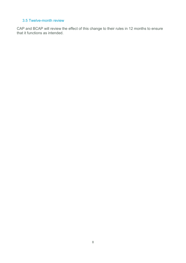## 3.5 Twelve-month review

CAP and BCAP will review the effect of this change to their rules in 12 months to ensure that it functions as intended.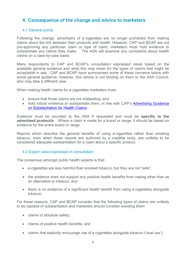## 4. Consequence of the change and advice to marketers

## 4.1 General points

Following the change, advertisers of e-cigarettes are no longer prohibited from making claims about the link between their products and health. However, CAP and BCAP are not pre-approving any particular claim or type of claim; marketers must hold evidence to substantiate any claims they make. The ASA will examine any complaints about health claims on a case-by-case basis.

Many respondents to CAP and BCAP's consultation expressed views based on the available general evidence and what this may mean for the types of claims that might be acceptable in ads. CAP and BCAP have summarised some of these concerns below with some general guidance; however, this advice is not binding on them or the ASA Council, who may take a different view.

When making health claims for e-cigarettes marketers must:

- ensure that those claims are not misleading; and
- hold robust evidence to substantiate them, in line with CAP's Advertising Guidance on Substantiation for Health Claims.

Evidence must be provided to the ASA if requested and must be specific to the advertised product/s. Where a claim is made for a brand or range, it should be based on evidence for the entire brand or range.

Reports which describe the general benefits of using e-cigarettes rather than smoking tobacco, even when those reports are authored by a credible body, are unlikely to be considered adequate substantiation for a claim about a specific product.

#### 4.2 Expert views expressed in consultation

The consensus amongst public health experts is that:

- e-cigarettes are less harmful than smoked tobacco, but they are not "safe";
- the evidence does not support any positive health benefits from vaping other than as an alternative to tobacco; and
- there is no evidence of a significant health benefit from using e-cigarettes alongside tobacco.

For these reasons, CAP and BCAP consider that the following types of claims are unlikely to be capable of substantiation and marketers should consider avoiding them:

- claims of absolute safety;
- claims of positive health benefits; and
- claims that explicitly encourage use of e-cigarettes alongside tobacco ('dual use').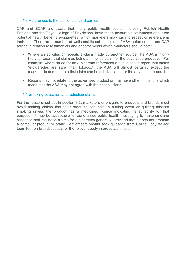### 4.3 References to the opinions of third parties

CAP and BCAP are aware that many public health bodies, including Publich Health England and the Royal College of Physicians, have made favourable statements about the potential health benefits e-cigarettes, which marketers may wish to repeat or reference in their ads. There are a number of well-established principles of ASA enforcement and CAP advice in relation to testimonials and endorsements which marketers should note:

- Where an ad cites or repeats a claim made by another source, the ASA is highly likely to regard that claim as being an implied claim for the advertised product/s. For example, where an ad for an e-cigarette references a public health report that states "e-cigarettes are safer than tobacco", the ASA will almost certainly expect the marketer to demonstrate that claim can be substantiated for the advertised product.
- Reports may not relate to the advertised product or may have other limitations which mean that the ASA may not agree with their conclusions.

## 4.4 Smoking cessation and reduction claims

For the reasons set out in section 3.3, marketers of e-cigarette products and brands must avoid making claims that their products can help in cutting down or quitting tobacco smoking unless the product has a medicines licence indicating its suitability for that purpose. It may be acceptable for generalised public health messaging to make smoking cessation and reduction claims for e-cigarettes generally, provided that it does not promote a particular product or brand. Advertisers should seek guidance from CAP's Copy Advice team for non-broadcast ads, or the relevant body in broadcast media.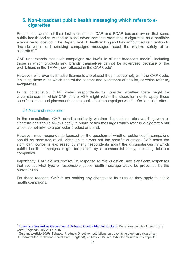## 5. Non-broadcast public health messaging which refers to e**cigarettes**

Prior to the launch of their last consultation, CAP and BCAP became aware that some public health bodies wished to place advertisements promoting e-cigarettes as a healthier alternative to tobacco. The Department of Health in England has announced its intention to "include within quit smoking campaigns messages about the relative safety of ecigarettes".<sup>6</sup>

CAP understands that such campaigns are lawful in all non-broadcast media<sup>7</sup>, including those in which products and brands themselves cannot be advertised because of the prohibitions in the TRPR (now reflected in the CAP Code).

However, wherever such advertisements are placed they must comply with the CAP Code, including those rules which control the content and placement of ads for, or which refer to, e-cigarettes.

In its consultation, CAP invited respondents to consider whether there might be circumstances in which CAP or the ASA might retain the discretion not to apply these specific content and placement rules to public health campaigns which refer to e-cigarettes.

#### 5.1 Nature of responses

 $\overline{a}$ 

In the consultation. CAP asked specifically whether the content rules which govern ecigarette ads should always apply to public health messages which refer to e-cigarettes but which do not refer to a particular product or brand.

However, most respondents focused on the question of whether public health campaigns should be permitted at all. Although this was not the specific question, CAP notes the significant concerns expressed by many respondents about the circumstances in which public health campaigns might be placed by a commercial entity, including tobacco companies.

Importantly, CAP did not receive, in response to this question, any significant responses that set out what type of responsible public health message would be prevented by the current rules.

For these reasons, CAP is not making any changes to its rules as they apply to public health campaigns.

<sup>&</sup>lt;sup>6</sup> Towards a Smokefree Generation: A Tobacco Control Plan for England; Department of Health and Social

Care (England), July 2017, p.16<br><sup>7</sup> Guidance:Article 20(5), Tobacco Products Directive: restrictions on advertising electronic cigarettes: Department for Health and Social Care (England), 20 May 2016, see 'Who the requirements apply to'.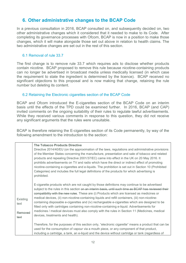## 6. Other administrative changes to the BCAP Code

In a previous consultation in 2016, BCAP consulted on, and subsequently decided on, two other administrative changes which it considered that it needed to make to its Code. After completing its governance processes with Ofcom, BCAP is now in a position to make those changes, which it will make alongside those set out above in relation to health claims. The two administrative changes are set out in the rest of this section.

## 6.1 Removal of rule 33.7

The first change is to remove rule 33.7 which requires ads to disclose whether products contain nicotine. BCAP proposed to remove this rule because nicotine-containing products can no longer be advertised in broadcast media unless medically licensed (in which case the requirement to state the ingredient is determined by the licence). BCAP received no significant objections to this proposal and is now making that change, retaining the rule number but deleting its content.

## 6.2 Retaining the Electronic cigarettes section of the BCAP Code

BCAP and Ofcom introduced the E-cigarettes section of the BCAP Code on an interim basis until the effects of the TPD could be examined further. In 2016, BCAP (and CAP) invited comments on the ongoing suitability of their rules to regulate lawful advertisements. While they received various comments in response to this question, they did not receive any significant arguments that the rules were unsuitable.

BCAP is therefore retaining the E-cigarettes section of its Code permanently, by way of the following amendment to the introduction to the section:

|          | <b>The Tobacco Products Directive</b>                                                                                                                                                         |
|----------|-----------------------------------------------------------------------------------------------------------------------------------------------------------------------------------------------|
|          | Directive 2014/40/EU (on the approximation of the laws, regulations and administrative provisions                                                                                             |
|          | of the Member States concerning the manufacture, presentation and sale of tobacco and related                                                                                                 |
|          | products and repealing Directive 2001/37/EC) came into effect in the UK on 20 May 2016. It                                                                                                    |
|          | prohibits advertisements on TV and radio which have the direct or indirect effect of promoting                                                                                                |
|          | nicotine-containing e-cigarettes and e-liquids. The prohibition is set out in Section 10 (Prohibited                                                                                          |
|          | Categories) and includes the full legal definitions of the products for which advertising is<br>prohibited.                                                                                   |
|          |                                                                                                                                                                                               |
|          | E-cigarette products which are not caught by those definitions may continue to be advertised                                                                                                  |
|          | subject to the rules in this section on an interim basis, until such time as BCAP has reviewed their                                                                                          |
|          | compatibility with the new rules. These are (i) Products which are licensed as medicines or                                                                                                   |
| Existing | medical devices, (ii) non-nicotine-containing liquids and refill containers, (iii) non-nicotine-                                                                                              |
| text     | containing disposable e-cigarettes and (iv) rechargeable e-cigarettes which are designed to be<br>fitted only with cartridges containing non-nicotine-containing e-liquid. Advertisements for |
|          | medicines / medical devices must also comply with the rules in Section 11 (Medicines, medical                                                                                                 |
| Removed  | devices, treatments and health).                                                                                                                                                              |
| text     |                                                                                                                                                                                               |
|          | Therefore, for the purposes of this section only, "electronic cigarette" means a product that can be                                                                                          |
|          | used for the consumption of vapour via a mouth piece, or any component of that product,                                                                                                       |
|          | including a cartridge, a tank, an e-liquid and the device without cartridge or tank (regardless of                                                                                            |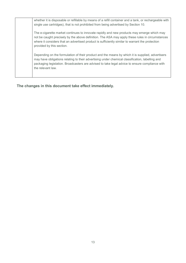| whether it is disposable or refillable by means of a refill container and a tank, or rechargeable with<br>single use cartridges), that is not prohibited from being advertised by Section 10.                                                                                                                                 |
|-------------------------------------------------------------------------------------------------------------------------------------------------------------------------------------------------------------------------------------------------------------------------------------------------------------------------------|
| The e-cigarette market continues to innovate rapidly and new products may emerge which may<br>not be caught precisely by the above definition. The ASA may apply these rules in circumstances<br>where it considers that an advertised product is sufficiently similar to warrant the protection<br>provided by this section. |
| Depending on the formulation of their product and the means by which it is supplied, advertisers<br>may have obligations relating to their advertising under chemical classification, labelling and<br>packaging legislation. Broadcasters are advised to take legal advice to ensure compliance with<br>the relevant law.    |
|                                                                                                                                                                                                                                                                                                                               |

The changes in this document take effect immediately.